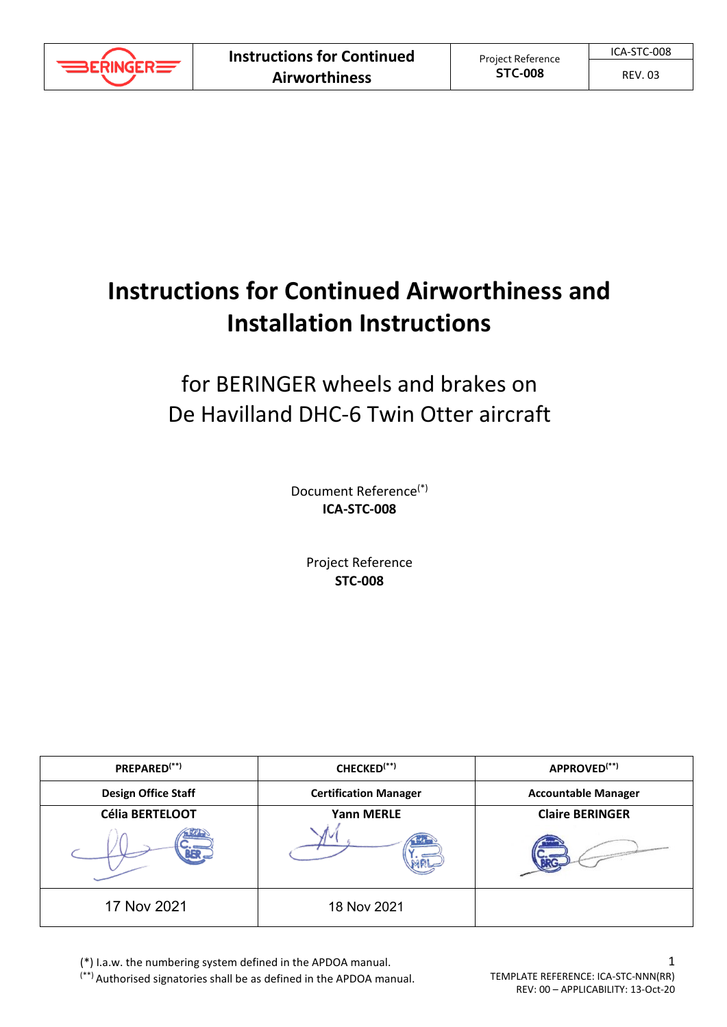

#### REV. 03

# **Instructions for Continued Airworthiness and Installation Instructions**

# for BERINGER wheels and brakes on De Havilland DHC-6 Twin Otter aircraft

Document Reference(\*) **ICA-STC-008**

> Project Reference **STC-008**

| PREPARED <sup>(**)</sup>   | CHECKED <sup>(**)</sup>      | APPROVED <sup>(**)</sup>   |
|----------------------------|------------------------------|----------------------------|
| <b>Design Office Staff</b> | <b>Certification Manager</b> | <b>Accountable Manager</b> |
| <b>Célia BERTELOOT</b>     | <b>Yann MERLE</b>            | <b>Claire BERINGER</b>     |
|                            |                              |                            |
| 17 Nov 2021                | 18 Nov 2021                  |                            |

(\*) I.a.w. the numbering system defined in the APDOA manual.

(\*\*) Authorised signatories shall be as defined in the APDOA manual.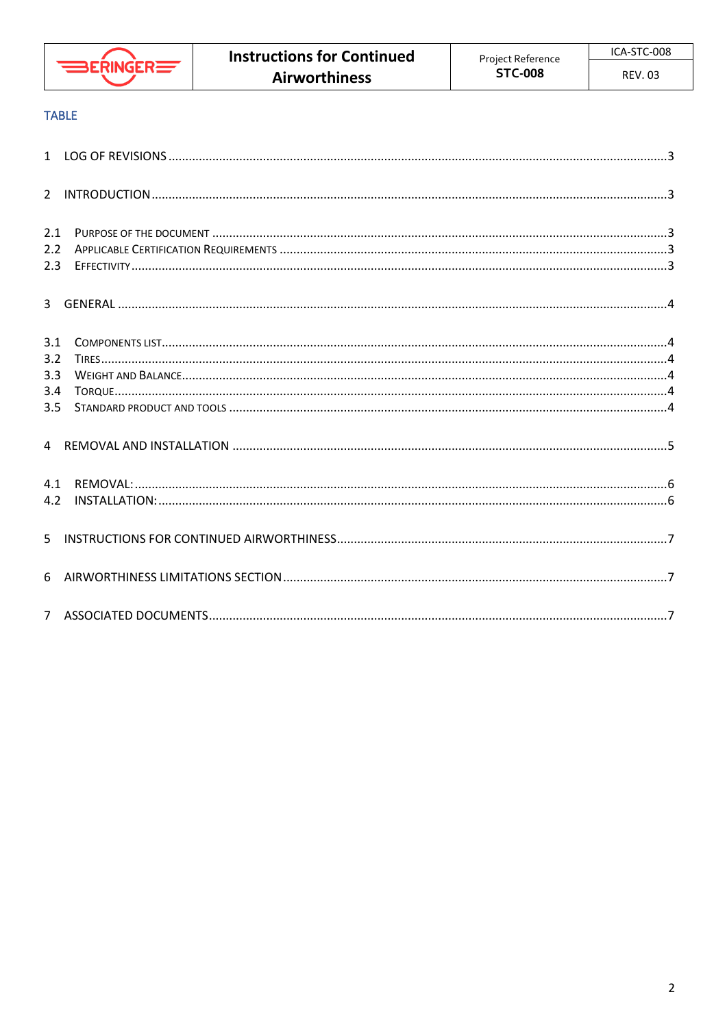

#### **TABLE**

| 2.1           |  |
|---------------|--|
| $2.2^{\circ}$ |  |
| 2.3           |  |
|               |  |
| 3.1           |  |
| 3.2           |  |
| 3.3           |  |
| 3.4           |  |
| 3.5           |  |
|               |  |
| 4.1           |  |
| 4.2           |  |
|               |  |
|               |  |
|               |  |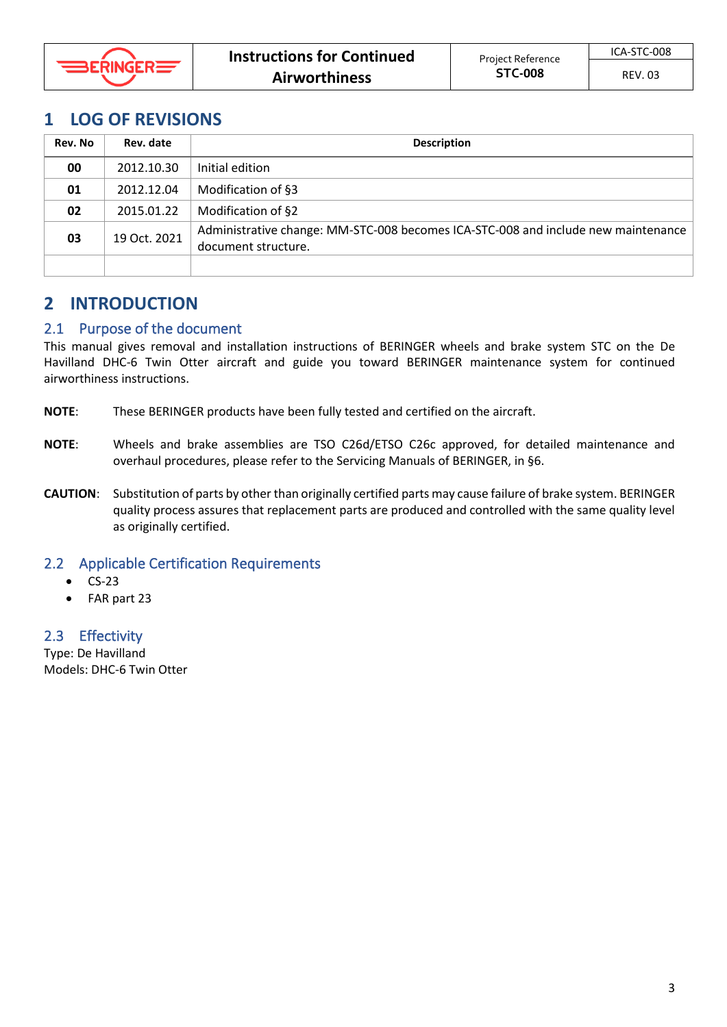

## <span id="page-2-0"></span>**1 LOG OF REVISIONS**

| Rev. No | Rev. date    | <b>Description</b>                                                                                       |
|---------|--------------|----------------------------------------------------------------------------------------------------------|
| 00      | 2012.10.30   | Initial edition                                                                                          |
| 01      | 2012.12.04   | Modification of §3                                                                                       |
| 02      | 2015.01.22   | Modification of §2                                                                                       |
| 03      | 19 Oct. 2021 | Administrative change: MM-STC-008 becomes ICA-STC-008 and include new maintenance<br>document structure. |
|         |              |                                                                                                          |

# <span id="page-2-1"></span>**2 INTRODUCTION**

#### <span id="page-2-2"></span>2.1 Purpose of the document

This manual gives removal and installation instructions of BERINGER wheels and brake system STC on the De Havilland DHC-6 Twin Otter aircraft and guide you toward BERINGER maintenance system for continued airworthiness instructions.

- **NOTE**: These BERINGER products have been fully tested and certified on the aircraft.
- **NOTE**: Wheels and brake assemblies are TSO C26d/ETSO C26c approved, for detailed maintenance and overhaul procedures, please refer to the Servicing Manuals of BERINGER, in §6.
- **CAUTION**: Substitution of parts by other than originally certified parts may cause failure of brake system. BERINGER quality process assures that replacement parts are produced and controlled with the same quality level as originally certified.

#### <span id="page-2-3"></span>2.2 Applicable Certification Requirements

- CS-23
- FAR part 23

#### <span id="page-2-4"></span>2.3 Effectivity

Type: De Havilland Models: DHC-6 Twin Otter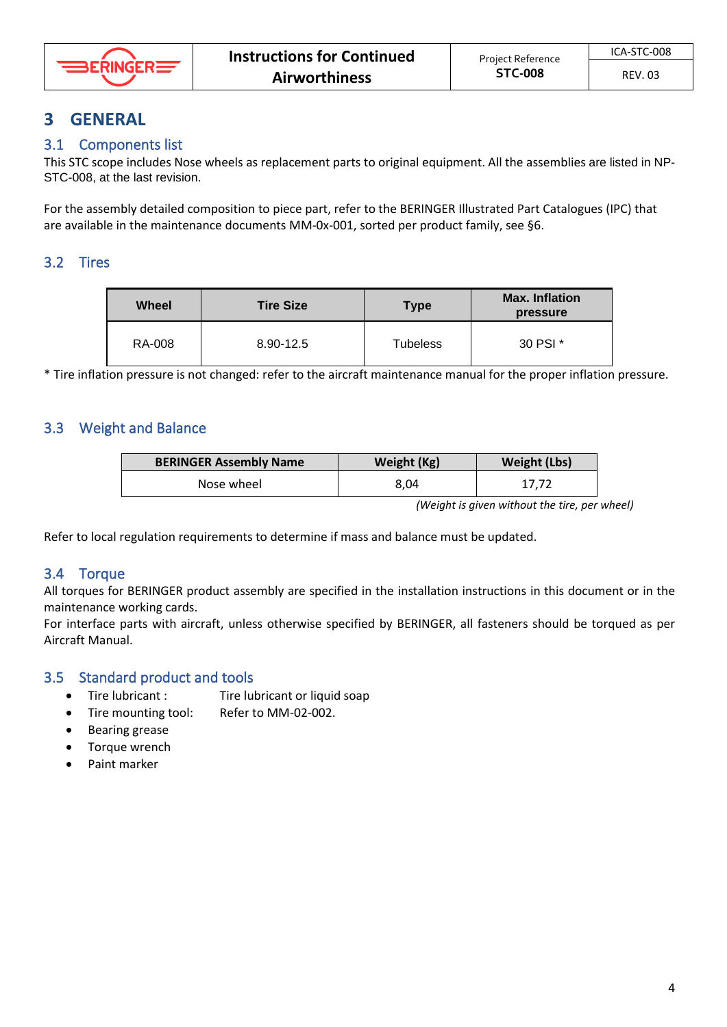

# <span id="page-3-0"></span>**3 GENERAL**

## <span id="page-3-1"></span>3.1 Components list

This STC scope includes Nose wheels as replacement parts to original equipment. All the assemblies are listed in NP-STC-008, at the last revision.

For the assembly detailed composition to piece part, refer to the BERINGER Illustrated Part Catalogues (IPC) that are available in the maintenance documents MM-0x-001, sorted per product family, see §6.

## <span id="page-3-2"></span>3.2 Tires

| Wheel  | <b>Tire Size</b> | <b>Type</b> | <b>Max. Inflation</b><br>pressure |
|--------|------------------|-------------|-----------------------------------|
| RA-008 | 8.90-12.5        | Tubeless    | 30 PSI *                          |

\* Tire inflation pressure is not changed: refer to the aircraft maintenance manual for the proper inflation pressure.

## <span id="page-3-3"></span>3.3 Weight and Balance

| <b>BERINGER Assembly Name</b> | Weight (Kg) | Weight (Lbs) |
|-------------------------------|-------------|--------------|
| Nose wheel                    | 8.04        | 17.72        |

*(Weight is given without the tire, per wheel)*

Refer to local regulation requirements to determine if mass and balance must be updated.

#### <span id="page-3-4"></span>3.4 Torque

All torques for BERINGER product assembly are specified in the installation instructions in this document or in the maintenance working cards.

For interface parts with aircraft, unless otherwise specified by BERINGER, all fasteners should be torqued as per Aircraft Manual.

## <span id="page-3-5"></span>3.5 Standard product and tools

- Tire lubricant : Tire lubricant or liquid soap
- Tire mounting tool: Refer to MM-02-002.
- Bearing grease
- Torque wrench
- Paint marker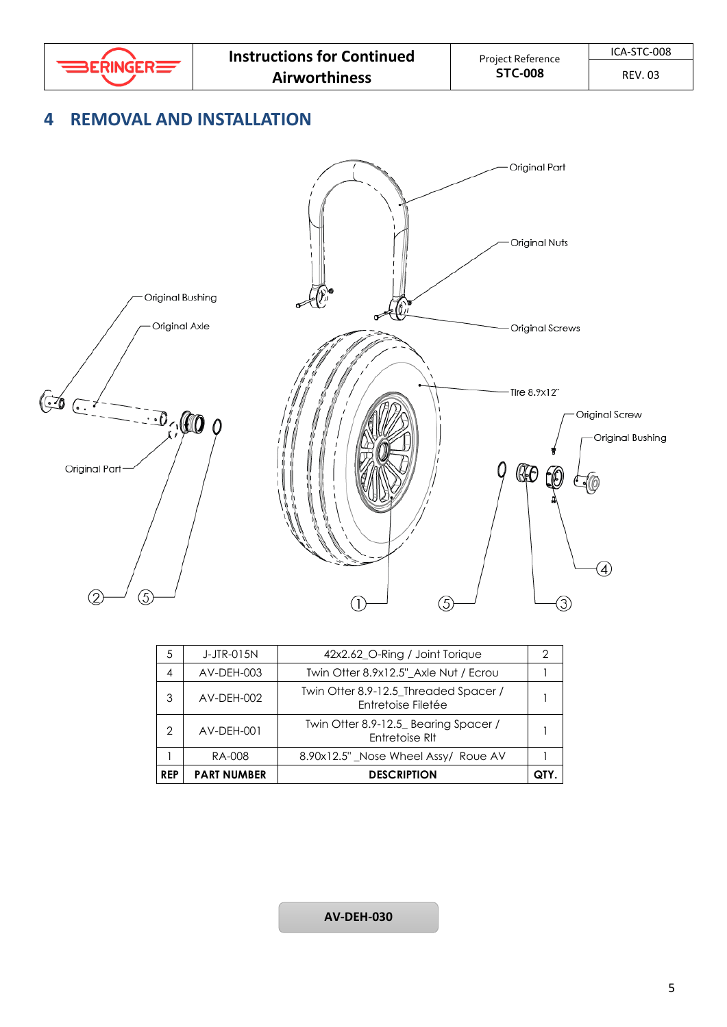

REV. 03

# <span id="page-4-0"></span>**4 REMOVAL AND INSTALLATION**



| <b>REP</b> | <b>PART NUMBER</b> | <b>DESCRIPTION</b>                                          |  |
|------------|--------------------|-------------------------------------------------------------|--|
|            | RA-008             | 8.90x12.5" Nose Wheel Assy/ Roue AV                         |  |
| 2          | AV-DEH-001         | Twin Otter 8.9-12.5_ Bearing Spacer /<br>Entretoise RIt     |  |
| 3          | AV-DEH-002         | Twin Otter 8.9-12.5_Threaded Spacer /<br>Entretoise Filetée |  |
| 4          | AV-DEH-003         | Twin Otter 8.9x12.5" Axle Nut / Ecrou                       |  |
| 5          | J-JTR-015N         | 42x2.62_O-Ring / Joint Torique                              |  |

#### **AV-DEH-030**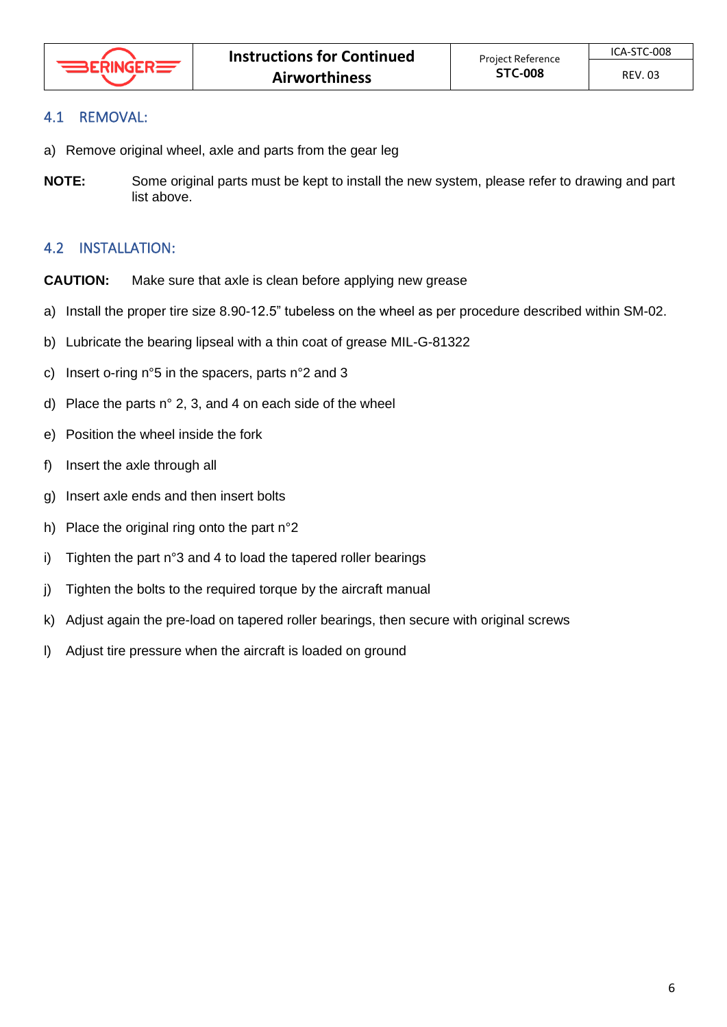## <span id="page-5-0"></span>4.1 REMOVAL:

- a) Remove original wheel, axle and parts from the gear leg
- **NOTE:** Some original parts must be kept to install the new system, please refer to drawing and part list above.

## <span id="page-5-1"></span>4.2 INSTALLATION:

- **CAUTION:** Make sure that axle is clean before applying new grease
- a) Install the proper tire size 8.90-12.5" tubeless on the wheel as per procedure described within SM-02.
- b) Lubricate the bearing lipseal with a thin coat of grease MIL-G-81322
- c) Insert o-ring n°5 in the spacers, parts n°2 and 3
- d) Place the parts n° 2, 3, and 4 on each side of the wheel
- e) Position the wheel inside the fork
- f) Insert the axle through all
- g) Insert axle ends and then insert bolts
- h) Place the original ring onto the part n°2
- i) Tighten the part n°3 and 4 to load the tapered roller bearings
- j) Tighten the bolts to the required torque by the aircraft manual
- k) Adjust again the pre-load on tapered roller bearings, then secure with original screws
- l) Adjust tire pressure when the aircraft is loaded on ground